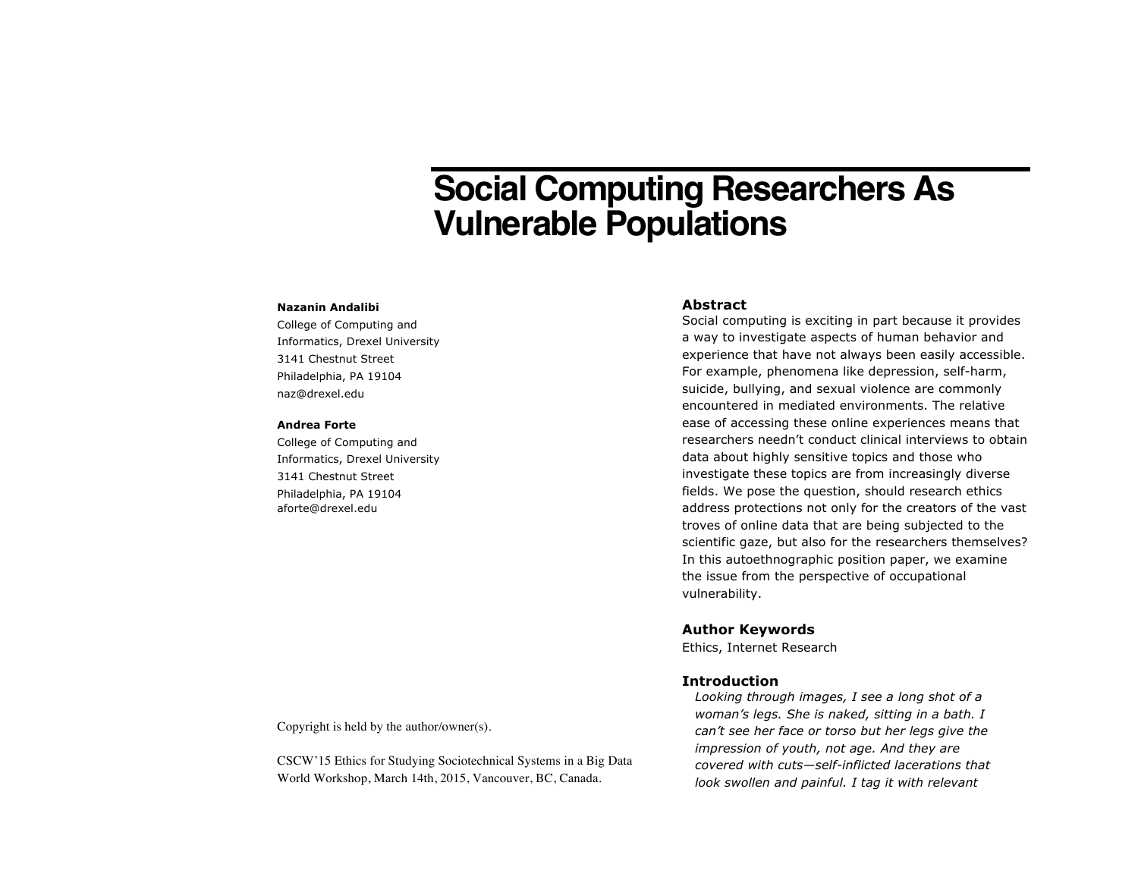# **Social Computing Researchers As Vulnerable Populations**

#### **Nazanin Andalibi**

College of Computing and Informatics, Drexel University 3141 Chestnut Street Philadelphia, PA 19104 naz@drexel.edu

## **Andrea Forte**

College of Computing and Informatics, Drexel University 3141 Chestnut Street Philadelphia, PA 19104 aforte@drexel.edu

# **Abstract**

Social computing is exciting in part because it provides a way to investigate aspects of human behavior and experience that have not always been easily accessible. For example, phenomena like depression, self-harm, suicide, bullying, and sexual violence are commonly encountered in mediated environments. The relative ease of accessing these online experiences means that researchers needn't conduct clinical interviews to obtain data about highly sensitive topics and those who investigate these topics are from increasingly diverse fields. We pose the question, should research ethics address protections not only for the creators of the vast troves of online data that are being subjected to the scientific gaze, but also for the researchers themselves? In this autoethnographic position paper, we examine the issue from the perspective of occupational vulnerability.

## **Author Keywords**

Ethics, Internet Research

# **Introduction**

*Looking through images, I see a long shot of a woman's legs. She is naked, sitting in a bath. I can't see her face or torso but her legs give the impression of youth, not age. And they are covered with cuts—self-inflicted lacerations that look swollen and painful. I tag it with relevant* 

Copyright is held by the author/owner(s).

CSCW'15 Ethics for Studying Sociotechnical Systems in a Big Data World Workshop, March 14th, 2015, Vancouver, BC, Canada.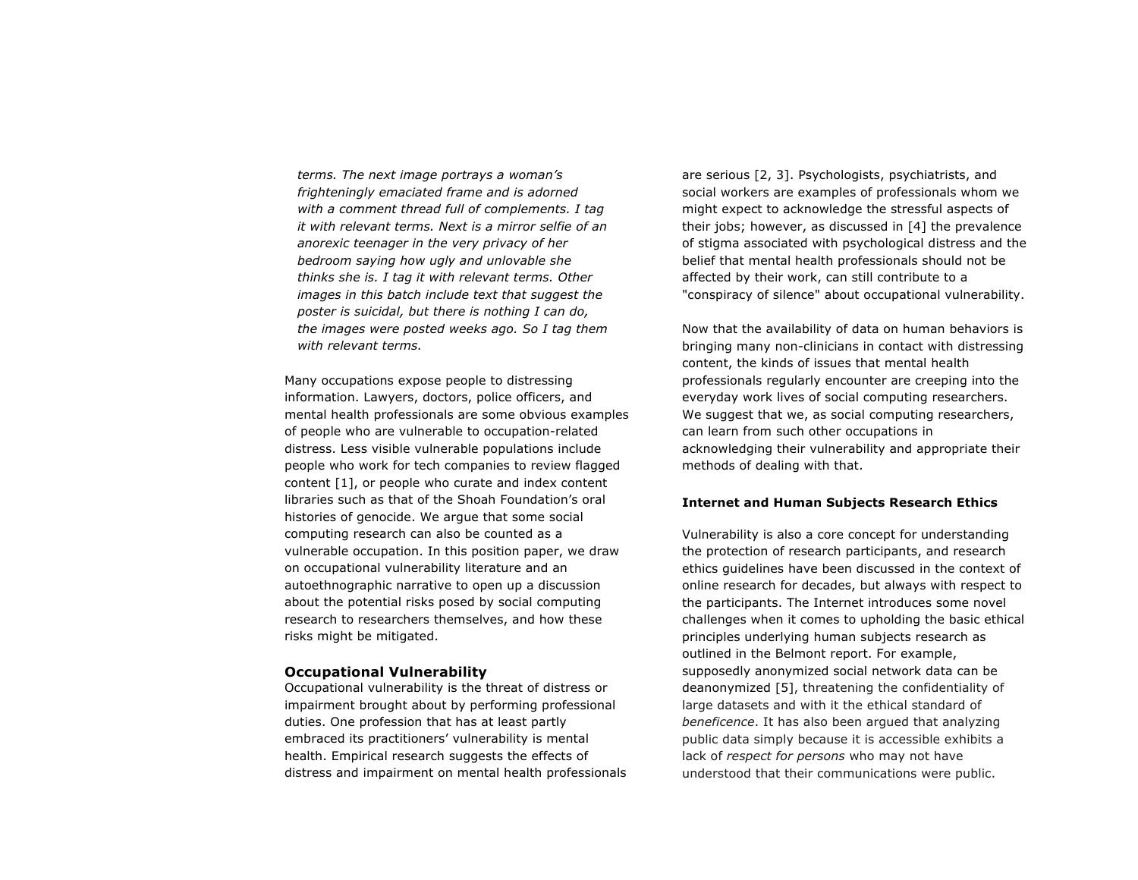*terms. The next image portrays a woman's frighteningly emaciated frame and is adorned with a comment thread full of complements. I tag it with relevant terms. Next is a mirror selfie of an anorexic teenager in the very privacy of her bedroom saying how ugly and unlovable she thinks she is. I tag it with relevant terms. Other images in this batch include text that suggest the poster is suicidal, but there is nothing I can do, the images were posted weeks ago. So I tag them with relevant terms.*

Many occupations expose people to distressing information. Lawyers, doctors, police officers, and mental health professionals are some obvious examples of people who are vulnerable to occupation-related distress. Less visible vulnerable populations include people who work for tech companies to review flagged content [1], or people who curate and index content libraries such as that of the Shoah Foundation's oral histories of genocide. We argue that some social computing research can also be counted as a vulnerable occupation. In this position paper, we draw on occupational vulnerability literature and an autoethnographic narrative to open up a discussion about the potential risks posed by social computing research to researchers themselves, and how these risks might be mitigated.

## **Occupational Vulnerability**

Occupational vulnerability is the threat of distress or impairment brought about by performing professional duties. One profession that has at least partly embraced its practitioners' vulnerability is mental health. Empirical research suggests the effects of distress and impairment on mental health professionals are serious [2, 3]. Psychologists, psychiatrists, and social workers are examples of professionals whom we might expect to acknowledge the stressful aspects of their jobs; however, as discussed in [4] the prevalence of stigma associated with psychological distress and the belief that mental health professionals should not be affected by their work, can still contribute to a "conspiracy of silence" about occupational vulnerability.

Now that the availability of data on human behaviors is bringing many non-clinicians in contact with distressing content, the kinds of issues that mental health professionals regularly encounter are creeping into the everyday work lives of social computing researchers. We suggest that we, as social computing researchers, can learn from such other occupations in acknowledging their vulnerability and appropriate their methods of dealing with that.

## **Internet and Human Subjects Research Ethics**

Vulnerability is also a core concept for understanding the protection of research participants, and research ethics guidelines have been discussed in the context of online research for decades, but always with respect to the participants. The Internet introduces some novel challenges when it comes to upholding the basic ethical principles underlying human subjects research as outlined in the Belmont report. For example, supposedly anonymized social network data can be deanonymized [5], threatening the confidentiality of large datasets and with it the ethical standard of *beneficence*. It has also been argued that analyzing public data simply because it is accessible exhibits a lack of *respect for persons* who may not have understood that their communications were public.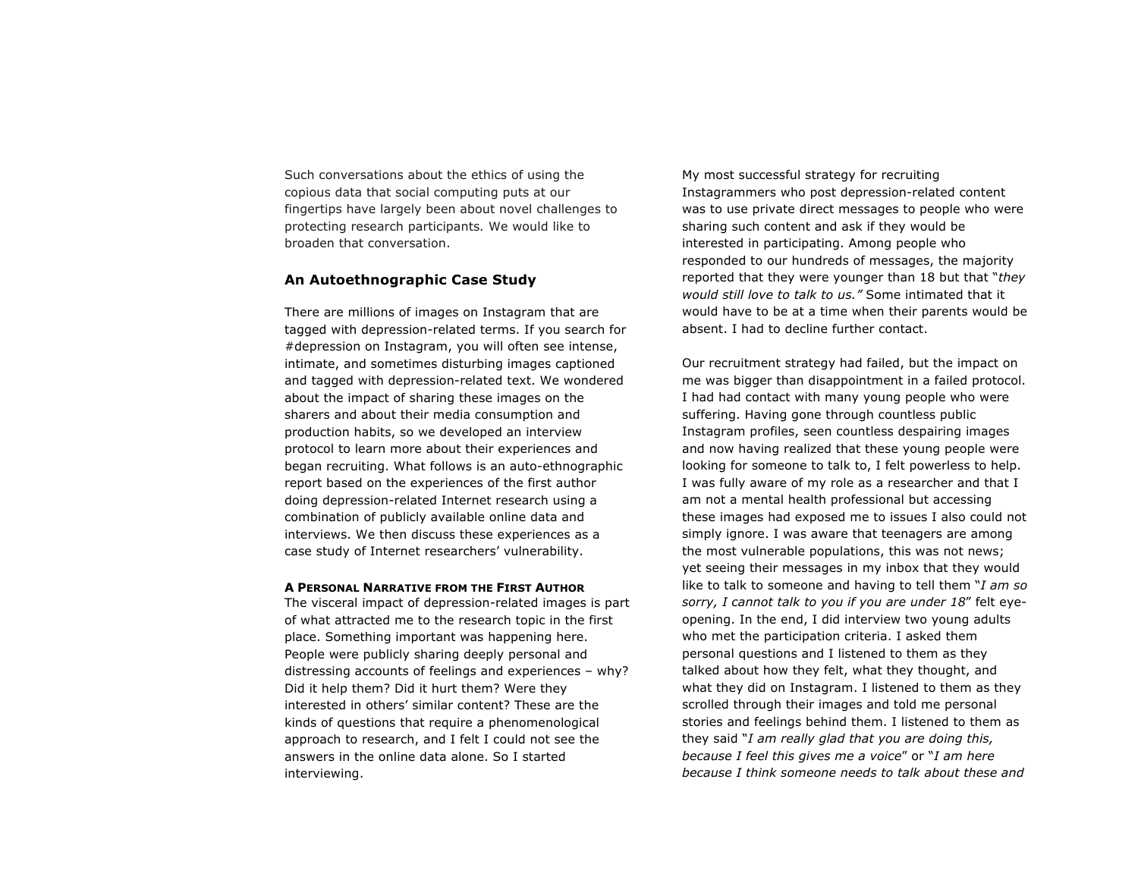Such conversations about the ethics of using the copious data that social computing puts at our fingertips have largely been about novel challenges to protecting research participants*.* We would like to broaden that conversation.

# **An Autoethnographic Case Study**

There are millions of images on Instagram that are tagged with depression-related terms. If you search for #depression on Instagram, you will often see intense, intimate, and sometimes disturbing images captioned and tagged with depression-related text. We wondered about the impact of sharing these images on the sharers and about their media consumption and production habits, so we developed an interview protocol to learn more about their experiences and began recruiting. What follows is an auto-ethnographic report based on the experiences of the first author doing depression-related Internet research using a combination of publicly available online data and interviews. We then discuss these experiences as a case study of Internet researchers' vulnerability.

#### **A PERSONAL NARRATIVE FROM THE FIRST AUTHOR**

The visceral impact of depression-related images is part of what attracted me to the research topic in the first place. Something important was happening here. People were publicly sharing deeply personal and distressing accounts of feelings and experiences – why? Did it help them? Did it hurt them? Were they interested in others' similar content? These are the kinds of questions that require a phenomenological approach to research, and I felt I could not see the answers in the online data alone. So I started interviewing.

My most successful strategy for recruiting Instagrammers who post depression-related content was to use private direct messages to people who were sharing such content and ask if they would be interested in participating. Among people who responded to our hundreds of messages, the majority reported that they were younger than 18 but that "*they would still love to talk to us."* Some intimated that it would have to be at a time when their parents would be absent. I had to decline further contact.

Our recruitment strategy had failed, but the impact on me was bigger than disappointment in a failed protocol. I had had contact with many young people who were suffering. Having gone through countless public Instagram profiles, seen countless despairing images and now having realized that these young people were looking for someone to talk to, I felt powerless to help. I was fully aware of my role as a researcher and that I am not a mental health professional but accessing these images had exposed me to issues I also could not simply ignore. I was aware that teenagers are among the most vulnerable populations, this was not news; yet seeing their messages in my inbox that they would like to talk to someone and having to tell them "*I am so sorry, I cannot talk to you if you are under 18*" felt eyeopening. In the end, I did interview two young adults who met the participation criteria. I asked them personal questions and I listened to them as they talked about how they felt, what they thought, and what they did on Instagram. I listened to them as they scrolled through their images and told me personal stories and feelings behind them. I listened to them as they said "*I am really glad that you are doing this, because I feel this gives me a voice*" or "*I am here because I think someone needs to talk about these and*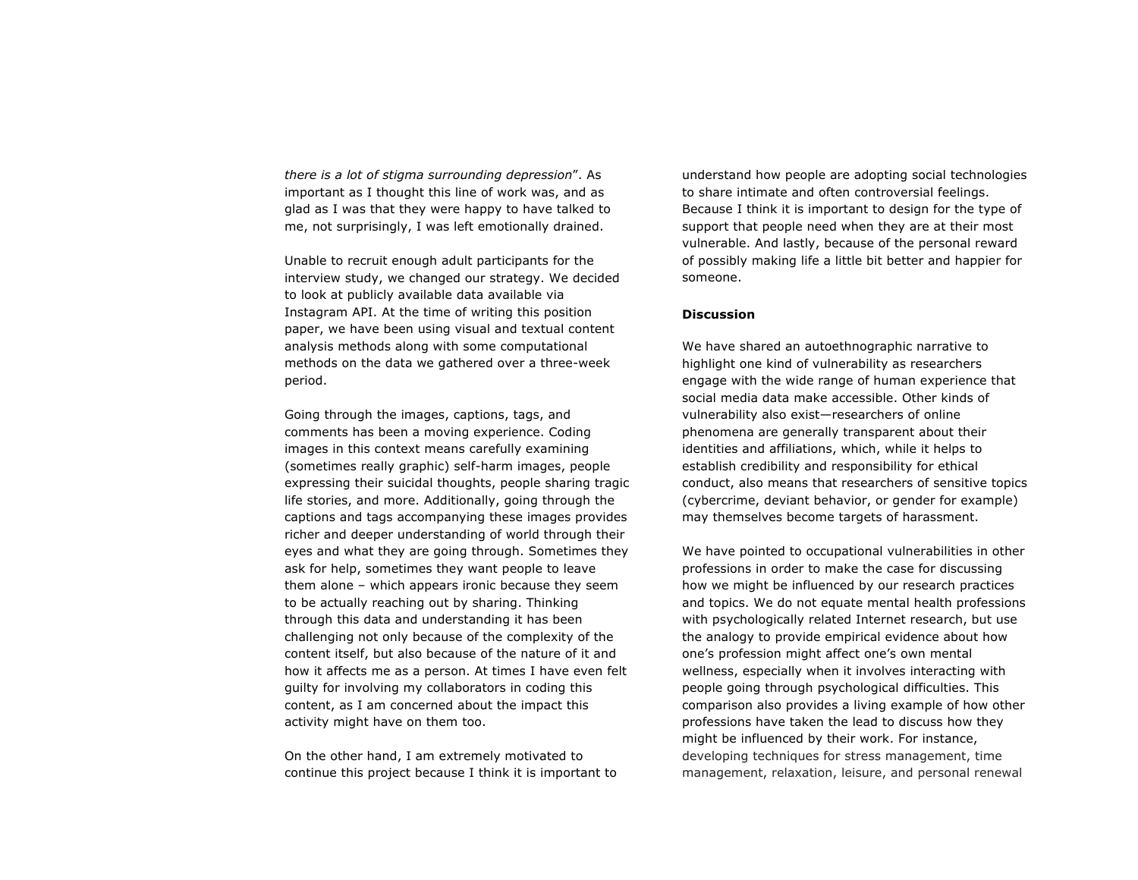*there is a lot of stigma surrounding depression*". As important as I thought this line of work was, and as glad as I was that they were happy to have talked to me, not surprisingly, I was left emotionally drained.

Unable to recruit enough adult participants for the interview study, we changed our strategy. We decided to look at publicly available data available via Instagram API. At the time of writing this position paper, we have been using visual and textual content analysis methods along with some computational methods on the data we gathered over a three-week period.

Going through the images, captions, tags, and comments has been a moving experience. Coding images in this context means carefully examining (sometimes really graphic) self-harm images, people expressing their suicidal thoughts, people sharing tragic life stories, and more. Additionally, going through the captions and tags accompanying these images provides richer and deeper understanding of world through their eyes and what they are going through. Sometimes they ask for help, sometimes they want people to leave them alone – which appears ironic because they seem to be actually reaching out by sharing. Thinking through this data and understanding it has been challenging not only because of the complexity of the content itself, but also because of the nature of it and how it affects me as a person. At times I have even felt guilty for involving my collaborators in coding this content, as I am concerned about the impact this activity might have on them too.

On the other hand, I am extremely motivated to continue this project because I think it is important to understand how people are adopting social technologies to share intimate and often controversial feelings. Because I think it is important to design for the type of support that people need when they are at their most vulnerable. And lastly, because of the personal reward of possibly making life a little bit better and happier for someone.

# **Discussion**

We have shared an autoethnographic narrative to highlight one kind of vulnerability as researchers engage with the wide range of human experience that social media data make accessible. Other kinds of vulnerability also exist—researchers of online phenomena are generally transparent about their identities and affiliations, which, while it helps to establish credibility and responsibility for ethical conduct, also means that researchers of sensitive topics (cybercrime, deviant behavior, or gender for example) may themselves become targets of harassment.

We have pointed to occupational vulnerabilities in other professions in order to make the case for discussing how we might be influenced by our research practices and topics. We do not equate mental health professions with psychologically related Internet research, but use the analogy to provide empirical evidence about how one's profession might affect one's own mental wellness, especially when it involves interacting with people going through psychological difficulties. This comparison also provides a living example of how other professions have taken the lead to discuss how they might be influenced by their work. For instance, developing techniques for stress management, time management, relaxation, leisure, and personal renewal